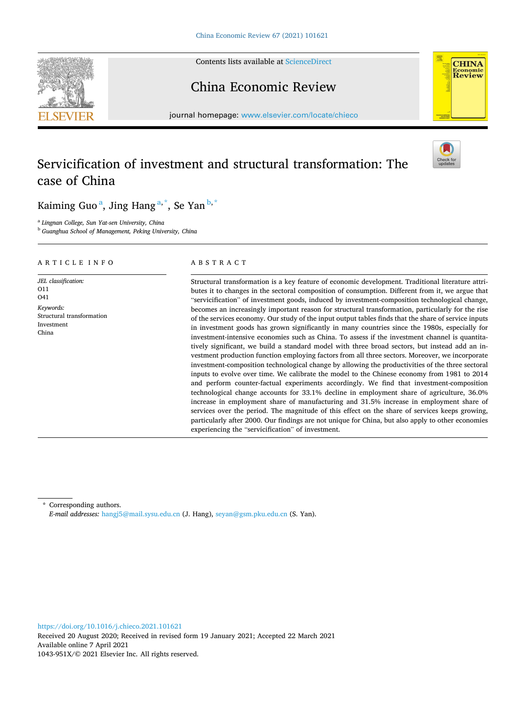Contents lists available at [ScienceDirect](www.sciencedirect.com/science/journal/1043951X)





# China Economic Review

journal homepage: [www.elsevier.com/locate/chieco](https://www.elsevier.com/locate/chieco) 

# Servicification of investment and structural transformation: The case of China



Kaiming Guo<sup>a</sup>, Jing Hang<sup>a,\*</sup>, Se Yan<sup>b,\*</sup>

<sup>a</sup> *Lingnan College, Sun Yat-sen University, China* 

<sup>b</sup> *Guanghua School of Management, Peking University, China* 

# ARTICLE INFO

*JEL classification:*  O11  $\Omega$ 1 *Keywords:*  Structural transformation Investment China

# ABSTRACT

Structural transformation is a key feature of economic development. Traditional literature attributes it to changes in the sectoral composition of consumption. Different from it, we argue that "servicification" of investment goods, induced by investment-composition technological change, becomes an increasingly important reason for structural transformation, particularly for the rise of the services economy. Our study of the input output tables finds that the share of service inputs in investment goods has grown significantly in many countries since the 1980s, especially for investment-intensive economies such as China. To assess if the investment channel is quantitatively significant, we build a standard model with three broad sectors, but instead add an investment production function employing factors from all three sectors. Moreover, we incorporate investment-composition technological change by allowing the productivities of the three sectoral inputs to evolve over time. We calibrate the model to the Chinese economy from 1981 to 2014 and perform counter-factual experiments accordingly. We find that investment-composition technological change accounts for 33.1% decline in employment share of agriculture, 36.0% increase in employment share of manufacturing and 31.5% increase in employment share of services over the period. The magnitude of this effect on the share of services keeps growing, particularly after 2000. Our findings are not unique for China, but also apply to other economies experiencing the "servicification" of investment.

\* Corresponding authors. *E-mail addresses:* [hangj5@mail.sysu.edu.cn](mailto:hangj5@mail.sysu.edu.cn) (J. Hang), [seyan@gsm.pku.edu.cn](mailto:seyan@gsm.pku.edu.cn) (S. Yan).

<https://doi.org/10.1016/j.chieco.2021.101621>

Available online 7 April 2021 1043-951X/© 2021 Elsevier Inc. All rights reserved. Received 20 August 2020; Received in revised form 19 January 2021; Accepted 22 March 2021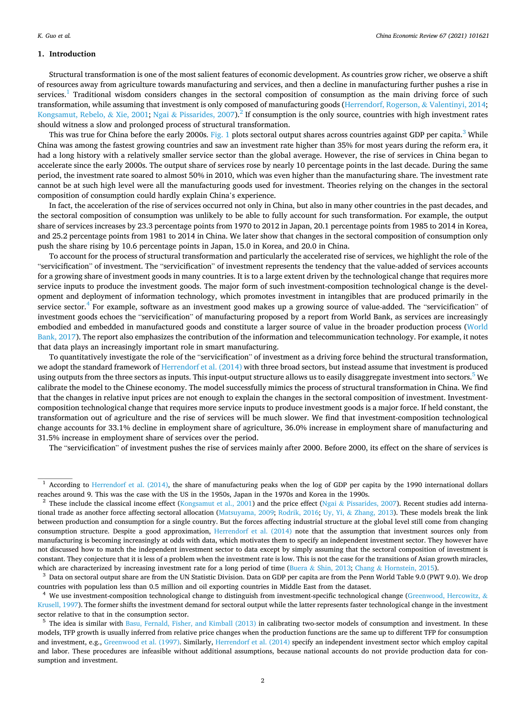## **1. Introduction**

Structural transformation is one of the most salient features of economic development. As countries grow richer, we observe a shift of resources away from agriculture towards manufacturing and services, and then a decline in manufacturing further pushes a rise in services.<sup>1</sup> Traditional wisdom considers changes in the sectoral composition of consumption as the main driving force of such transformation, while assuming that investment is only composed of manufacturing goods ([Herrendorf, Rogerson,](#page-24-0) & Valentinyi, 2014; [Kongsamut, Rebelo,](#page-24-0) & Xie, 2001; Ngai & [Pissarides, 2007](#page-24-0)).<sup>2</sup> If consumption is the only source, countries with high investment rates should witness a slow and prolonged process of structural transformation.

This was true for China before the early 2000s. [Fig. 1](#page-2-0) plots sectoral output shares across countries against GDP per capita.<sup>3</sup> While China was among the fastest growing countries and saw an investment rate higher than 35% for most years during the reform era, it had a long history with a relatively smaller service sector than the global average. However, the rise of services in China began to accelerate since the early 2000s. The output share of services rose by nearly 10 percentage points in the last decade. During the same period, the investment rate soared to almost 50% in 2010, which was even higher than the manufacturing share. The investment rate cannot be at such high level were all the manufacturing goods used for investment. Theories relying on the changes in the sectoral composition of consumption could hardly explain China's experience.

In fact, the acceleration of the rise of services occurred not only in China, but also in many other countries in the past decades, and the sectoral composition of consumption was unlikely to be able to fully account for such transformation. For example, the output share of services increases by 23.3 percentage points from 1970 to 2012 in Japan, 20.1 percentage points from 1985 to 2014 in Korea, and 25.2 percentage points from 1981 to 2014 in China. We later show that changes in the sectoral composition of consumption only push the share rising by 10.6 percentage points in Japan, 15.0 in Korea, and 20.0 in China.

To account for the process of structural transformation and particularly the accelerated rise of services, we highlight the role of the "servicification" of investment. The "servicification" of investment represents the tendency that the value-added of services accounts for a growing share of investment goods in many countries. It is to a large extent driven by the technological change that requires more service inputs to produce the investment goods. The major form of such investment-composition technological change is the development and deployment of information technology, which promotes investment in intangibles that are produced primarily in the service sector. $4$  For example, software as an investment good makes up a growing source of value-added. The "servicification" of investment goods echoes the "servicification" of manufacturing proposed by a report from World Bank, as services are increasingly embodied and embedded in manufactured goods and constitute a larger source of value in the broader production process ([World](#page-24-0) [Bank, 2017\)](#page-24-0). The report also emphasizes the contribution of the information and telecommunication technology. For example, it notes that data plays an increasingly important role in smart manufacturing.

To quantitatively investigate the role of the "servicification" of investment as a driving force behind the structural transformation, we adopt the standard framework of [Herrendorf et al. \(2014\)](#page-24-0) with three broad sectors, but instead assume that investment is produced using outputs from the three sectors as inputs. This input-output structure allows us to easily disaggregate investment into sectors.<sup>5</sup> We calibrate the model to the Chinese economy. The model successfully mimics the process of structural transformation in China. We find that the changes in relative input prices are not enough to explain the changes in the sectoral composition of investment. Investmentcomposition technological change that requires more service inputs to produce investment goods is a major force. If held constant, the transformation out of agriculture and the rise of services will be much slower. We find that investment-composition technological change accounts for 33.1% decline in employment share of agriculture, 36.0% increase in employment share of manufacturing and 31.5% increase in employment share of services over the period.

The "servicification" of investment pushes the rise of services mainly after 2000. Before 2000, its effect on the share of services is

countries with population less than 0.5 million and oil exporting countries in Middle East from the dataset.<br><sup>4</sup> We use investment-composition technological change to distinguish from investment-specific technological cha

[Krusell, 1997](#page-24-0)). The former shifts the investment demand for sectoral output while the latter represents faster technological change in the investment sector relative to that in the consumption sector.<br><sup>5</sup> The idea is similar with [Basu, Fernald, Fisher, and Kimball \(2013\)](#page-24-0) in calibrating two-sector models of consumption and investment. In these

models, TFP growth is usually inferred from relative price changes when the production functions are the same up to different TFP for consumption and investment, e.g., [Greenwood et al. \(1997\)](#page-24-0). Similarly, [Herrendorf et al. \(2014\)](#page-24-0) specify an independent investment sector which employ capital and labor. These procedures are infeasible without additional assumptions, because national accounts do not provide production data for consumption and investment.

<sup>1</sup> According to [Herrendorf et al. \(2014\)](#page-24-0), the share of manufacturing peaks when the log of GDP per capita by the 1990 international dollars reaches around 9. This was the case with the US in the 1950s, Japan in the 1970s and Korea in the 1990s.<br><sup>2</sup> These include the classical income effect ([Kongsamut et al., 2001](#page-24-0)) and the price effect (Ngai & Pissarides, 2007

tional trade as another force affecting sectoral allocation ([Matsuyama, 2009;](#page-24-0) [Rodrik, 2016](#page-24-0); Uy, Yi, & [Zhang, 2013](#page-24-0)). These models break the link between production and consumption for a single country. But the forces affecting industrial structure at the global level still come from changing consumption structure. Despite a good approximation, [Herrendorf et al. \(2014\)](#page-24-0) note that the assumption that investment sources only from manufacturing is becoming increasingly at odds with data, which motivates them to specify an independent investment sector. They however have not discussed how to match the independent investment sector to data except by simply assuming that the sectoral composition of investment is constant. They conjecture that it is less of a problem when the investment rate is low. This is not the case for the transitions of Asian growth miracles, which are characterized by increasing investment rate for a long period of time (Buera & Shin, 2013; Chang & [Hornstein, 2015\)](#page-24-0).<br><sup>3</sup> Data on sectoral output share are from the UN Statistic Division. Data on GDP per capita a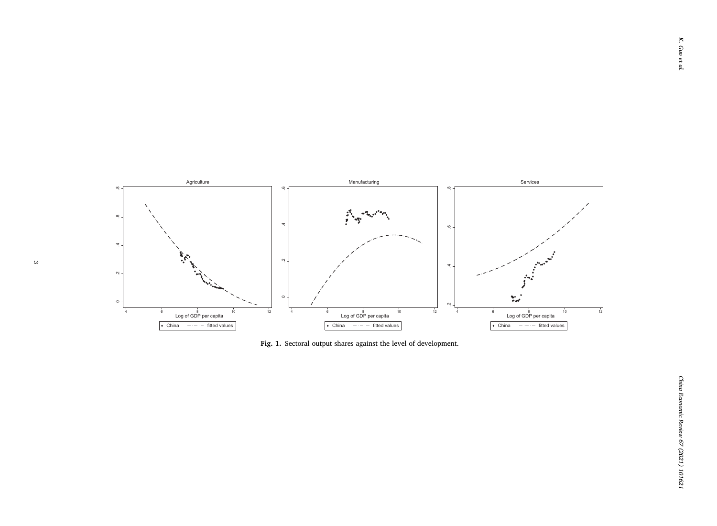<span id="page-2-0"></span>

**Fig. 1.** Sectoral output shares against the level of development.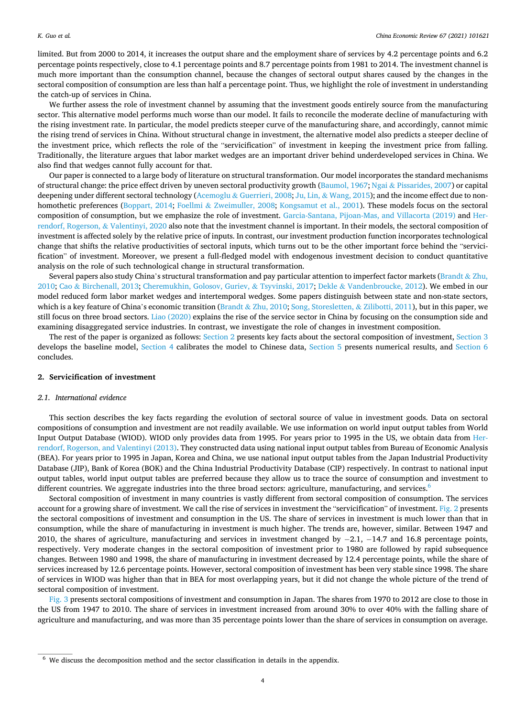limited. But from 2000 to 2014, it increases the output share and the employment share of services by 4.2 percentage points and 6.2 percentage points respectively, close to 4.1 percentage points and 8.7 percentage points from 1981 to 2014. The investment channel is much more important than the consumption channel, because the changes of sectoral output shares caused by the changes in the sectoral composition of consumption are less than half a percentage point. Thus, we highlight the role of investment in understanding the catch-up of services in China.

We further assess the role of investment channel by assuming that the investment goods entirely source from the manufacturing sector. This alternative model performs much worse than our model. It fails to reconcile the moderate decline of manufacturing with the rising investment rate. In particular, the model predicts steeper curve of the manufacturing share, and accordingly, cannot mimic the rising trend of services in China. Without structural change in investment, the alternative model also predicts a steeper decline of the investment price, which reflects the role of the "servicification" of investment in keeping the investment price from falling. Traditionally, the literature argues that labor market wedges are an important driver behind underdeveloped services in China. We also find that wedges cannot fully account for that.

Our paper is connected to a large body of literature on structural transformation. Our model incorporates the standard mechanisms of structural change: the price effect driven by uneven sectoral productivity growth [\(Baumol, 1967](#page-24-0); Ngai & [Pissarides, 2007\)](#page-24-0) or capital deepening under different sectoral technology (Acemoglu & [Guerrieri, 2008](#page-24-0); Ju, Lin, & [Wang, 2015](#page-24-0)); and the income effect due to nonhomothetic preferences ([Boppart, 2014;](#page-24-0) Foellmi & [Zweimuller, 2008;](#page-24-0) [Kongsamut et al., 2001\)](#page-24-0). These models focus on the sectoral composition of consumption, but we emphasize the role of investment. [Garcia-Santana, Pijoan-Mas, and Villacorta \(2019\)](#page-24-0) and [Her](#page-24-0)[rendorf, Rogerson,](#page-24-0) & Valentinyi, 2020 also note that the investment channel is important. In their models, the sectoral composition of investment is affected solely by the relative price of inputs. In contrast, our investment production function incorporates technological change that shifts the relative productivities of sectoral inputs, which turns out to be the other important force behind the "servicification" of investment. Moreover, we present a full-fledged model with endogenous investment decision to conduct quantitative analysis on the role of such technological change in structural transformation.

Several papers also study China's structural transformation and pay particular attention to imperfect factor markets ([Brandt](#page-24-0) & Zhu, [2010;](#page-24-0) Cao & [Birchenall, 2013; Cheremukhin, Golosov, Guriev,](#page-24-0) & Tsyvinski, 2017; Dekle & [Vandenbroucke, 2012](#page-24-0)). We embed in our model reduced form labor market wedges and intertemporal wedges. Some papers distinguish between state and non-state sectors, which is a key feature of China's economic transition (Brandt & [Zhu, 2010](#page-24-0); [Song, Storesletten,](#page-24-0) & Zilibotti, 2011), but in this paper, we still focus on three broad sectors. [Liao \(2020\)](#page-24-0) explains the rise of the service sector in China by focusing on the consumption side and examining disaggregated service industries. In contrast, we investigate the role of changes in investment composition.

The rest of the paper is organized as follows: Section 2 presents key facts about the sectoral composition of investment, [Section 3](#page-10-0) develops the baseline model, [Section 4](#page-13-0) calibrates the model to Chinese data, [Section 5](#page-16-0) presents numerical results, and [Section 6](#page-23-0) concludes.

## **2. Servicification of investment**

#### *2.1. International evidence*

This section describes the key facts regarding the evolution of sectoral source of value in investment goods. Data on sectoral compositions of consumption and investment are not readily available. We use information on world input output tables from World Input Output Database (WIOD). WIOD only provides data from 1995. For years prior to 1995 in the US, we obtain data from [Her](#page-24-0)[rendorf, Rogerson, and Valentinyi \(2013\).](#page-24-0) They constructed data using national input output tables from Bureau of Economic Analysis (BEA). For years prior to 1995 in Japan, Korea and China, we use national input output tables from the Japan Industrial Productivity Database (JIP), Bank of Korea (BOK) and the China Industrial Productivity Database (CIP) respectively. In contrast to national input output tables, world input output tables are preferred because they allow us to trace the source of consumption and investment to different countries. We aggregate industries into the three broad sectors: agriculture, manufacturing, and services.<sup>6</sup>

Sectoral composition of investment in many countries is vastly different from sectoral composition of consumption. The services account for a growing share of investment. We call the rise of services in investment the "servicification" of investment. [Fig. 2](#page-4-0) presents the sectoral compositions of investment and consumption in the US. The share of services in investment is much lower than that in consumption, while the share of manufacturing in investment is much higher. The trends are, however, similar. Between 1947 and 2010, the shares of agriculture, manufacturing and services in investment changed by − 2.1, − 14.7 and 16.8 percentage points, respectively. Very moderate changes in the sectoral composition of investment prior to 1980 are followed by rapid subsequence changes. Between 1980 and 1998, the share of manufacturing in investment decreased by 12.4 percentage points, while the share of services increased by 12.6 percentage points. However, sectoral composition of investment has been very stable since 1998. The share of services in WIOD was higher than that in BEA for most overlapping years, but it did not change the whole picture of the trend of sectoral composition of investment.

[Fig. 3](#page-5-0) presents sectoral compositions of investment and consumption in Japan. The shares from 1970 to 2012 are close to those in the US from 1947 to 2010. The share of services in investment increased from around 30% to over 40% with the falling share of agriculture and manufacturing, and was more than 35 percentage points lower than the share of services in consumption on average.

<sup>6</sup> We discuss the decomposition method and the sector classification in details in the appendix.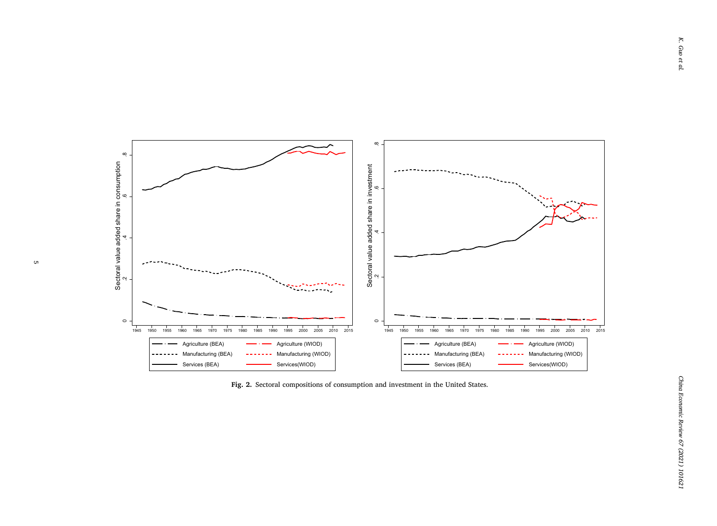<span id="page-4-0"></span>

**Fig. 2.** Sectoral compositions of consumption and investment in the United States.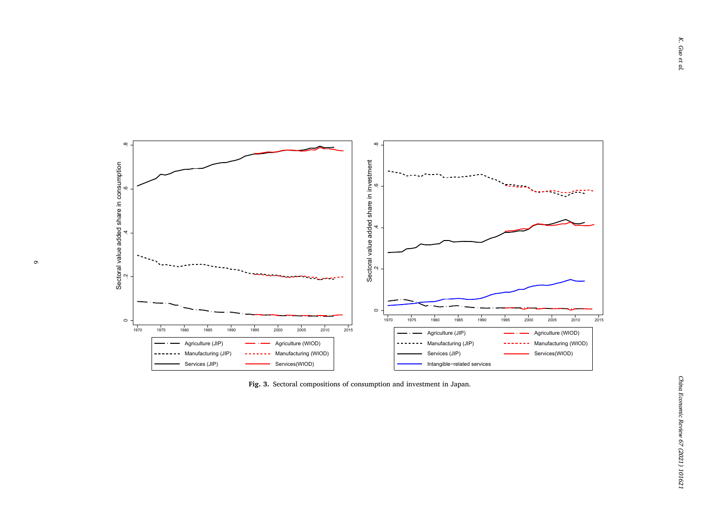<span id="page-5-0"></span>

**Fig. 3.** Sectoral compositions of consumption and investment in Japan.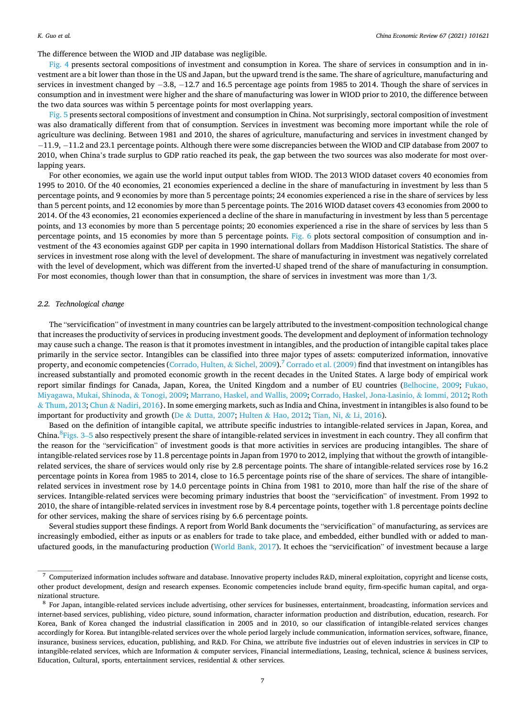The difference between the WIOD and JIP database was negligible.

[Fig. 4](#page-7-0) presents sectoral compositions of investment and consumption in Korea. The share of services in consumption and in investment are a bit lower than those in the US and Japan, but the upward trend is the same. The share of agriculture, manufacturing and services in investment changed by -3.8, -12.7 and 16.5 percentage age points from 1985 to 2014. Though the share of services in consumption and in investment were higher and the share of manufacturing was lower in WIOD prior to 2010, the difference between the two data sources was within 5 percentage points for most overlapping years.

[Fig. 5](#page-8-0) presents sectoral compositions of investment and consumption in China. Not surprisingly, sectoral composition of investment was also dramatically different from that of consumption. Services in investment was becoming more important while the role of agriculture was declining. Between 1981 and 2010, the shares of agriculture, manufacturing and services in investment changed by − 11.9, − 11.2 and 23.1 percentage points. Although there were some discrepancies between the WIOD and CIP database from 2007 to 2010, when China's trade surplus to GDP ratio reached its peak, the gap between the two sources was also moderate for most overlapping years.

For other economies, we again use the world input output tables from WIOD. The 2013 WIOD dataset covers 40 economies from 1995 to 2010. Of the 40 economies, 21 economies experienced a decline in the share of manufacturing in investment by less than 5 percentage points, and 9 economies by more than 5 percentage points; 24 economies experienced a rise in the share of services by less than 5 percent points, and 12 economies by more than 5 percentage points. The 2016 WIOD dataset covers 43 economies from 2000 to 2014. Of the 43 economies, 21 economies experienced a decline of the share in manufacturing in investment by less than 5 percentage points, and 13 economies by more than 5 percentage points; 20 economies experienced a rise in the share of services by less than 5 percentage points, and 15 economies by more than 5 percentage points. [Fig. 6](#page-9-0) plots sectoral composition of consumption and investment of the 43 economies against GDP per capita in 1990 international dollars from Maddison Historical Statistics. The share of services in investment rose along with the level of development. The share of manufacturing in investment was negatively correlated with the level of development, which was different from the inverted-U shaped trend of the share of manufacturing in consumption. For most economies, though lower than that in consumption, the share of services in investment was more than  $1/3$ .

## *2.2. Technological change*

The "servicification" of investment in many countries can be largely attributed to the investment-composition technological change that increases the productivity of services in producing investment goods. The development and deployment of information technology may cause such a change. The reason is that it promotes investment in intangibles, and the production of intangible capital takes place primarily in the service sector. Intangibles can be classified into three major types of assets: computerized information, innovative property, and economic competencies [\(Corrado, Hulten,](#page-24-0) & Sichel, 2009).<sup>7</sup> [Corrado et al. \(2009\)](#page-24-0) find that investment on intangibles has increased substantially and promoted economic growth in the recent decades in the United States. A large body of empirical work report similar findings for Canada, Japan, Korea, the United Kingdom and a number of EU countries ([Belhocine, 2009;](#page-24-0) [Fukao,](#page-24-0) [Miyagawa, Mukai, Shinoda,](#page-24-0) & Tonogi, 2009; [Marrano, Haskel, and Wallis, 2009](#page-24-0); [Corrado, Haskel, Jona-Lasinio,](#page-24-0) & Iommi, 2012; [Roth](#page-24-0) & [Thum, 2013](#page-24-0); Chun & [Nadiri, 2016](#page-24-0)}. In some emerging markets, such as India and China, investment in intangibles is also found to be important for productivity and growth (De & [Dutta, 2007](#page-24-0); Hulten & [Hao, 2012; Tian, Ni,](#page-24-0) & Li, 2016).

Based on the definition of intangible capital, we attribute specific industries to intangible-related services in Japan, Korea, and China.<sup>8</sup>Figs. 3–5 also respectively present the share of intangible-related services in investment in each country. They all confirm that the reason for the "servicification" of investment goods is that more activities in services are producing intangibles. The share of intangible-related services rose by 11.8 percentage points in Japan from 1970 to 2012, implying that without the growth of intangiblerelated services, the share of services would only rise by 2.8 percentage points. The share of intangible-related services rose by 16.2 percentage points in Korea from 1985 to 2014, close to 16.5 percentage points rise of the share of services. The share of intangiblerelated services in investment rose by 14.0 percentage points in China from 1981 to 2010, more than half the rise of the share of services. Intangible-related services were becoming primary industries that boost the "servicification" of investment. From 1992 to 2010, the share of intangible-related services in investment rose by 8.4 percentage points, together with 1.8 percentage points decline for other services, making the share of services rising by 6.6 percentage points.

Several studies support these findings. A report from World Bank documents the "servicification" of manufacturing, as services are increasingly embodied, either as inputs or as enablers for trade to take place, and embedded, either bundled with or added to manufactured goods, in the manufacturing production [\(World Bank, 2017\)](#page-24-0). It echoes the "servicification" of investment because a large

<sup>7</sup> Computerized information includes software and database. Innovative property includes R&D, mineral exploitation, copyright and license costs, other product development, design and research expenses. Economic competencies include brand equity, firm-specific human capital, and organizational structure.<br><sup>8</sup> For Japan, intangible-related services include advertising, other services for businesses, entertainment, broadcasting, information services and

internet-based services, publishing, video picture, sound information, character information production and distribution, education, research. For Korea, Bank of Korea changed the industrial classification in 2005 and in 2010, so our classification of intangible-related services changes accordingly for Korea. But intangible-related services over the whole period largely include communication, information services, software, finance, insurance, business services, education, publishing, and R&D. For China, we attribute five industries out of eleven industries in services in CIP to intangible-related services, which are Information & computer services, Financial intermediations, Leasing, technical, science & business services, Education, Cultural, sports, entertainment services, residential & other services.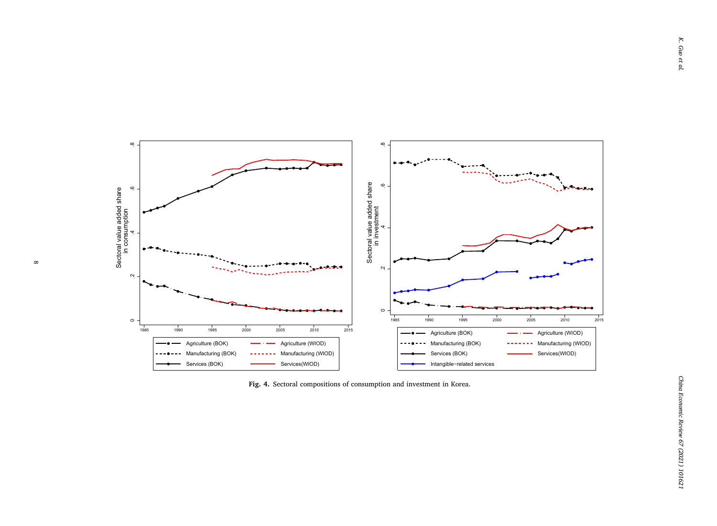<span id="page-7-0"></span>

**Fig. 4.** Sectoral compositions of consumption and investment in Korea.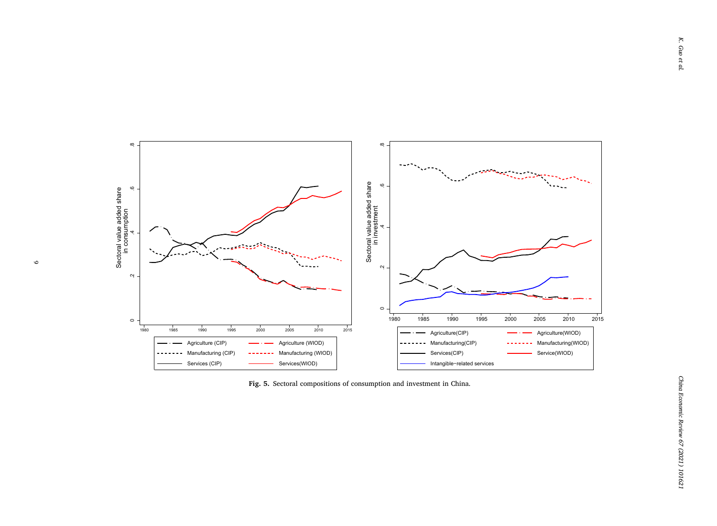<span id="page-8-0"></span>

**Fig. 5.** Sectoral compositions of consumption and investment in China.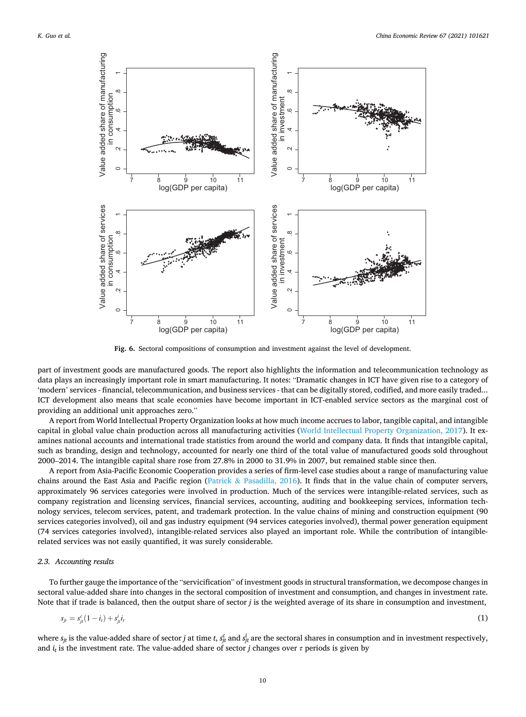<span id="page-9-0"></span>

**Fig. 6.** Sectoral compositions of consumption and investment against the level of development.

part of investment goods are manufactured goods. The report also highlights the information and telecommunication technology as data plays an increasingly important role in smart manufacturing. It notes: "Dramatic changes in ICT have given rise to a category of 'modern' services - financial, telecommunication, and business services - that can be digitally stored, codified, and more easily traded... ICT development also means that scale economies have become important in ICT-enabled service sectors as the marginal cost of providing an additional unit approaches zero."

A report from World Intellectual Property Organization looks at how much income accrues to labor, tangible capital, and intangible capital in global value chain production across all manufacturing activities ([World Intellectual Property Organization, 2017](#page-24-0)). It examines national accounts and international trade statistics from around the world and company data. It finds that intangible capital, such as branding, design and technology, accounted for nearly one third of the total value of manufactured goods sold throughout 2000–2014. The intangible capital share rose from 27.8% in 2000 to 31.9% in 2007, but remained stable since then.

A report from Asia-Pacific Economic Cooperation provides a series of firm-level case studies about a range of manufacturing value chains around the East Asia and Pacific region (Patrick & [Pasadilla, 2016\)](#page-24-0). It finds that in the value chain of computer servers, approximately 96 services categories were involved in production. Much of the services were intangible-related services, such as company registration and licensing services, financial services, accounting, auditing and bookkeeping services, information technology services, telecom services, patent, and trademark protection. In the value chains of mining and construction equipment (90 services categories involved), oil and gas industry equipment (94 services categories involved), thermal power generation equipment (74 services categories involved), intangible-related services also played an important role. While the contribution of intangiblerelated services was not easily quantified, it was surely considerable.

## *2.3. Accounting results*

To further gauge the importance of the "servicification" of investment goods in structural transformation, we decompose changes in sectoral value-added share into changes in the sectoral composition of investment and consumption, and changes in investment rate. Note that if trade is balanced, then the output share of sector *j* is the weighted average of its share in consumption and investment,

$$
s_{ji} = s_{ji}^c (1 - i_t) + s_{ji}^i i_t \tag{1}
$$

where  $s_{jt}$  is the value-added share of sector *j* at time *t*,  $s_{jt}^c$  and  $s_{jt}^i$  are the sectoral shares in consumption and in investment respectively, and  $i_t$  is the investment rate. The value-added share of sector *j* changes over  $\tau$  periods is given by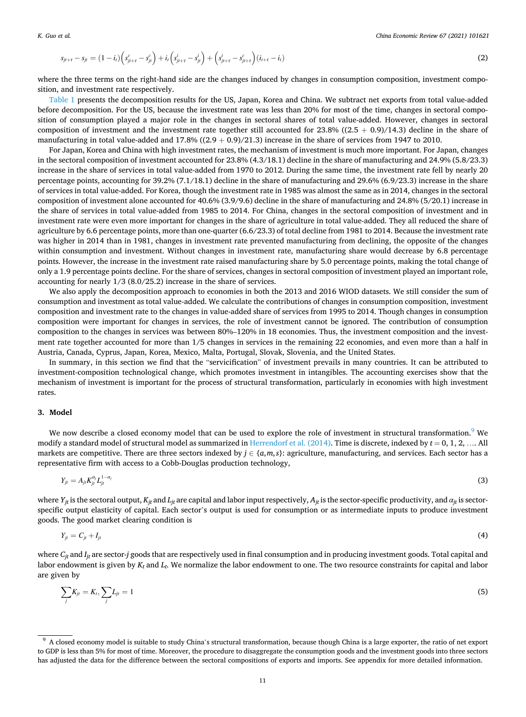<span id="page-10-0"></span>
$$
s_{j t + \tau} - s_{j t} = (1 - i_t) \left( s_{j t + \tau}^c - s_{j t}^c \right) + i_t \left( s_{j t + \tau}^i - s_{j t}^i \right) + \left( s_{j t + \tau}^i - s_{j t + \tau}^c \right) (i_{t + \tau} - i_t)
$$
\n(2)

where the three terms on the right-hand side are the changes induced by changes in consumption composition, investment composition, and investment rate respectively.

[Table 1](#page-11-0) presents the decomposition results for the US, Japan, Korea and China. We subtract net exports from total value-added before decomposition. For the US, because the investment rate was less than 20% for most of the time, changes in sectoral composition of consumption played a major role in the changes in sectoral shares of total value-added. However, changes in sectoral composition of investment and the investment rate together still accounted for  $23.8\%$  ((2.5 + 0.9)/14.3) decline in the share of manufacturing in total value-added and  $17.8\%$  ((2.9 + 0.9)/21.3) increase in the share of services from 1947 to 2010.

For Japan, Korea and China with high investment rates, the mechanism of investment is much more important. For Japan, changes in the sectoral composition of investment accounted for 23.8% (4.3/18.1) decline in the share of manufacturing and 24.9% (5.8/23.3) increase in the share of services in total value-added from 1970 to 2012. During the same time, the investment rate fell by nearly 20 percentage points, accounting for 39.2% (7.1/18.1) decline in the share of manufacturing and 29.6% (6.9/23.3) increase in the share of services in total value-added. For Korea, though the investment rate in 1985 was almost the same as in 2014, changes in the sectoral composition of investment alone accounted for 40.6% (3.9/9.6) decline in the share of manufacturing and 24.8% (5/20.1) increase in the share of services in total value-added from 1985 to 2014. For China, changes in the sectoral composition of investment and in investment rate were even more important for changes in the share of agriculture in total value-added. They all reduced the share of agriculture by 6.6 percentage points, more than one-quarter (6.6/23.3) of total decline from 1981 to 2014. Because the investment rate was higher in 2014 than in 1981, changes in investment rate prevented manufacturing from declining, the opposite of the changes within consumption and investment. Without changes in investment rate, manufacturing share would decrease by 6.8 percentage points. However, the increase in the investment rate raised manufacturing share by 5.0 percentage points, making the total change of only a 1.9 percentage points decline. For the share of services, changes in sectoral composition of investment played an important role, accounting for nearly 1/3 (8.0/25.2) increase in the share of services.

We also apply the decomposition approach to economies in both the 2013 and 2016 WIOD datasets. We still consider the sum of consumption and investment as total value-added. We calculate the contributions of changes in consumption composition, investment composition and investment rate to the changes in value-added share of services from 1995 to 2014. Though changes in consumption composition were important for changes in services, the role of investment cannot be ignored. The contribution of consumption composition to the changes in services was between 80%–120% in 18 economies. Thus, the investment composition and the investment rate together accounted for more than 1/5 changes in services in the remaining 22 economies, and even more than a half in Austria, Canada, Cyprus, Japan, Korea, Mexico, Malta, Portugal, Slovak, Slovenia, and the United States.

In summary, in this section we find that the "servicification" of investment prevails in many countries. It can be attributed to investment-composition technological change, which promotes investment in intangibles. The accounting exercises show that the mechanism of investment is important for the process of structural transformation, particularly in economies with high investment rates.

### **3. Model**

We now describe a closed economy model that can be used to explore the role of investment in structural transformation.<sup>9</sup> We modify a standard model of structural model as summarized in Herrendorf et al.  $(2014)$ . Time is discrete, indexed by  $t = 0, 1, 2, ...$  All markets are competitive. There are three sectors indexed by  $j \in \{a, m, s\}$ : agriculture, manufacturing, and services. Each sector has a representative firm with access to a Cobb-Douglas production technology,

$$
Y_{jt} = A_{jt} K_{jt}^{a_j} L_{jt}^{1-a_j}
$$
 (3)

where  $Y_{it}$  is the sectoral output,  $K_{it}$  and  $L_{it}$  are capital and labor input respectively,  $A_{it}$  is the sector-specific productivity, and  $a_{it}$  is sectorspecific output elasticity of capital. Each sector's output is used for consumption or as intermediate inputs to produce investment goods. The good market clearing condition is

$$
Y_{jt} = C_{jt} + I_{jt} \tag{4}
$$

where  $C_{it}$  and  $I_{it}$  are sector-*j* goods that are respectively used in final consumption and in producing investment goods. Total capital and labor endowment is given by *Kt* and *Lt*. We normalize the labor endowment to one. The two resource constraints for capital and labor are given by

$$
\sum_{j} K_{jt} = K_t, \sum_{j} L_{jt} = 1 \tag{5}
$$

<sup>9</sup> A closed economy model is suitable to study China's structural transformation, because though China is a large exporter, the ratio of net export to GDP is less than 5% for most of time. Moreover, the procedure to disaggregate the consumption goods and the investment goods into three sectors has adjusted the data for the difference between the sectoral compositions of exports and imports. See appendix for more detailed information.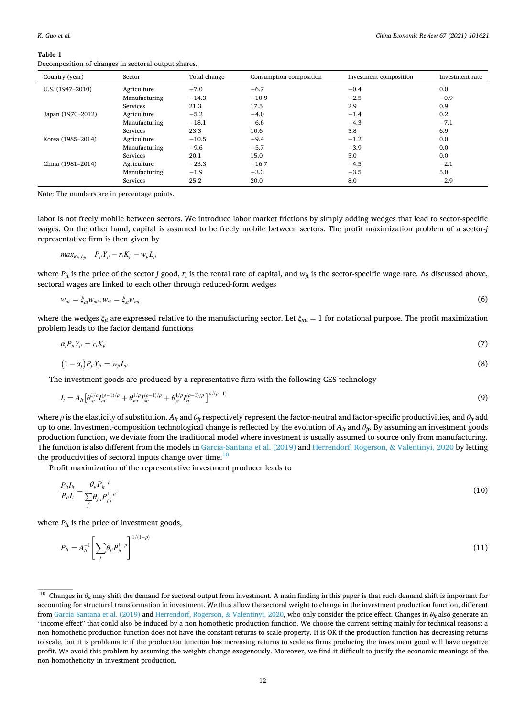#### <span id="page-11-0"></span>**Table 1**

Decomposition of changes in sectoral output shares.

| Country (year)    | Sector          | Total change | Consumption composition | Investment composition | Investment rate |
|-------------------|-----------------|--------------|-------------------------|------------------------|-----------------|
| U.S. (1947-2010)  | Agriculture     | $-7.0$       | $-6.7$                  | $-0.4$                 | 0.0             |
|                   | Manufacturing   | $-14.3$      | $-10.9$                 | $-2.5$                 | $-0.9$          |
|                   | Services        | 21.3         | 17.5                    | 2.9                    | 0.9             |
| Japan (1970-2012) | Agriculture     | $-5.2$       | $-4.0$                  | $-1.4$                 | 0.2             |
|                   | Manufacturing   | $-18.1$      | $-6.6$                  | $-4.3$                 | $-7.1$          |
|                   | Services        | 23.3         | 10.6                    | 5.8                    | 6.9             |
| Korea (1985-2014) | Agriculture     | $-10.5$      | $-9.4$                  | $-1.2$                 | 0.0             |
|                   | Manufacturing   | $-9.6$       | $-5.7$                  | $-3.9$                 | 0.0             |
|                   | Services        | 20.1         | 15.0                    | 5.0                    | 0.0             |
| China (1981-2014) | Agriculture     | $-23.3$      | $-16.7$                 | $-4.5$                 | $-2.1$          |
|                   | Manufacturing   | $-1.9$       | $-3.3$                  | $-3.5$                 | 5.0             |
|                   | <b>Services</b> | 25.2         | 20.0                    | 8.0                    | $-2.9$          |

Note: The numbers are in percentage points.

labor is not freely mobile between sectors. We introduce labor market frictions by simply adding wedges that lead to sector-specific wages. On the other hand, capital is assumed to be freely mobile between sectors. The profit maximization problem of a sector-*j*  representative firm is then given by

$$
max_{K_{ji},L_{ji}} \quad P_{ji}Y_{ji} - r_i K_{ji} - w_{ji}L_{ji}
$$

where  $P_{it}$  is the price of the sector *j* good,  $r_t$  is the rental rate of capital, and  $w_{it}$  is the sector-specific wage rate. As discussed above, sectoral wages are linked to each other through reduced-form wedges

$$
w_{at} = \xi_{at} w_{mt}, w_{st} = \xi_{st} w_{mt} \tag{6}
$$

where the wedges *ξjt* are expressed relative to the manufacturing sector. Let *ξmt* = 1 for notational purpose. The profit maximization problem leads to the factor demand functions

$$
\alpha_j P_{ji} Y_{ji} = r_i K_{ji} \tag{7}
$$

$$
(1-a_j)P_{ji}Y_{jt} = w_{ji}L_{jt} \tag{8}
$$

The investment goods are produced by a representative firm with the following CES technology

$$
I_{t} = A_{lt} \left[ \theta_{at}^{1/\rho} I_{at}^{(\rho-1)/\rho} + \theta_{mt}^{1/\rho} I_{mt}^{(\rho-1)/\rho} + \theta_{st}^{1/\rho} I_{st}^{(\rho-1)/\rho} \right] ^{\rho/(\rho-1)}
$$
(9)

where *ρ* is the elasticity of substitution. *AIt* and *θjt* respectively represent the factor-neutral and factor-specific productivities, and *θjt* add up to one. Investment-composition technological change is reflected by the evolution of  $A<sub>It</sub>$  and  $\theta<sub>ir</sub>$ . By assuming an investment goods production function, we deviate from the traditional model where investment is usually assumed to source only from manufacturing. The function is also different from the models in [Garcia-Santana et al. \(2019\)](#page-24-0) and [Herrendorf, Rogerson,](#page-24-0) & Valentinyi, 2020 by letting the productivities of sectoral inputs change over time. $10$ 

Profit maximization of the representative investment producer leads to

$$
\frac{P_{jl}I_{jl}}{P_{nl}} = \frac{\theta_{jl}P_{jl}^{1-\rho}}{\sum_{j} \theta_{j'l}P_{j'l}^{1-\rho}}
$$
(10)

where  $P_{It}$  is the price of investment goods,

$$
P_{lt} = A_{lt}^{-1} \left[ \sum_{j} \theta_{jt} P_{jt}^{1-\rho} \right]^{1/(1-\rho)}
$$
(11)

<sup>&</sup>lt;sup>10</sup> Changes in *θ<sub>it</sub>* may shift the demand for sectoral output from investment. A main finding in this paper is that such demand shift is important for accounting for structural transformation in investment. We thus allow the sectoral weight to change in the investment production function, different from [Garcia-Santana et al. \(2019\)](#page-24-0) and [Herrendorf, Rogerson,](#page-24-0) & Valentinyi, 2020, who only consider the price effect. Changes in *θjt* also generate an "income effect" that could also be induced by a non-homothetic production function. We choose the current setting mainly for technical reasons: a non-homothetic production function does not have the constant returns to scale property. It is OK if the production function has decreasing returns to scale, but it is problematic if the production function has increasing returns to scale as firms producing the investment good will have negative profit. We avoid this problem by assuming the weights change exogenously. Moreover, we find it difficult to justify the economic meanings of the non-homotheticity in investment production.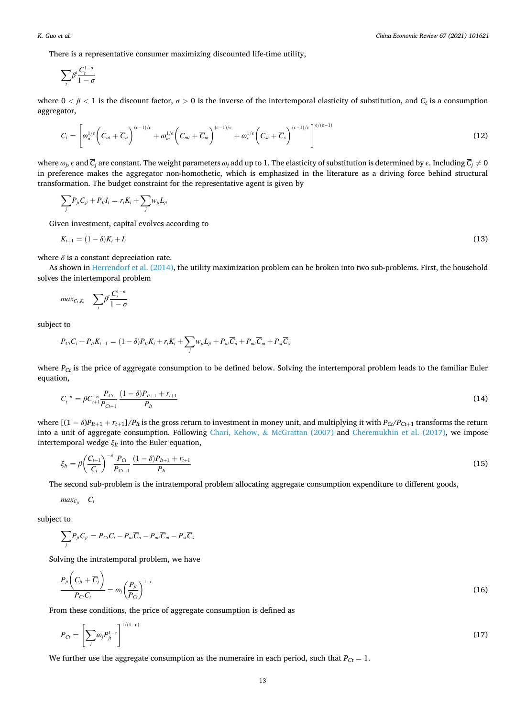<span id="page-12-0"></span>There is a representative consumer maximizing discounted life-time utility,

$$
\sum_t\beta^t\frac{C_t^{1-\sigma}}{1-\sigma}
$$

where  $0 < \beta < 1$  is the discount factor,  $\sigma > 0$  is the inverse of the intertemporal elasticity of substitution, and  $C_t$  is a consumption aggregator,

$$
C_{t} = \left[\omega_{a}^{1/e}\left(C_{at} + \overline{C}_{a}\right)^{(\epsilon-1)/\epsilon} + \omega_{m}^{1/e}\left(C_{mt} + \overline{C}_{m}\right)^{(\epsilon-1)/\epsilon} + \omega_{s}^{1/e}\left(C_{st} + \overline{C}_{s}\right)^{(\epsilon-1)/\epsilon}\right]^{e/(\epsilon-1)}
$$
(12)

where  $\omega_j$ ,  $\epsilon$  and  $\overline{C}_j$  are constant. The weight parameters  $\omega_j$  add up to 1. The elasticity of substitution is determined by  $\epsilon$ . Including  $\overline{C}_j \neq 0$ in preference makes the aggregator non-homothetic, which is emphasized in the literature as a driving force behind structural transformation. The budget constraint for the representative agent is given by

$$
\sum_j P_{ji}C_{ji} + P_{lt}I_t = r_tK_t + \sum_j w_{ji}L_{jt}
$$

Given investment, capital evolves according to

$$
K_{t+1} = (1 - \delta)K_t + I_t \tag{13}
$$

where  $\delta$  is a constant depreciation rate.

As shown in [Herrendorf et al. \(2014\)](#page-24-0), the utility maximization problem can be broken into two sub-problems. First, the household solves the intertemporal problem

$$
max_{C_t,K_t} \quad \sum_t \beta^t \frac{C_t^{1-\sigma}}{1-\sigma}
$$

subject to

$$
P_{C}C_t + P_{lt}K_{t+1} = (1 - \delta)P_{lt}K_t + r_tK_t + \sum_j w_{ji}L_{jt} + P_{at}\overline{C}_a + P_{mt}\overline{C}_m + P_{st}\overline{C}_s
$$

where  $P_{Ct}$  is the price of aggregate consumption to be defined below. Solving the intertemporal problem leads to the familiar Euler equation,

$$
C_t^{-\sigma} = \beta C_{t+1}^{-\sigma} \frac{P_{C_t}}{P_{C_{t+1}}} \frac{(1-\delta)P_{t+1} + r_{t+1}}{P_t}
$$
\n(14)

where  $[(1 - \delta)P_{t+1} + r_{t+1}]/P_{t}$  is the gross return to investment in money unit, and multiplying it with  $P_{Ct}/P_{Ct+1}$  transforms the return into a unit of aggregate consumption. Following Chari, Kehow, & [McGrattan \(2007\)](#page-24-0) and [Cheremukhin et al. \(2017\)](#page-24-0), we impose intertemporal wedge *ξIt* into the Euler equation,

$$
\xi_{h} = \beta \left( \frac{C_{t+1}}{C_{t}} \right)^{-\sigma} \frac{P_{Ct}}{P_{Ct+1}} \frac{(1-\delta)P_{h+1} + r_{t+1}}{P_{h}}
$$
\n(15)

The second sub-problem is the intratemporal problem allocating aggregate consumption expenditure to different goods,

$$
max_{C_{jt}} C_t
$$

subject to

$$
\sum_j P_{ji} C_{ji} = P_{Ci} C_i - P_{ai} \overline{C}_a - P_{mi} \overline{C}_m - P_{si} \overline{C}_s
$$

Solving the intratemporal problem, we have

$$
\frac{P_{ji}\left(C_{ji}+\overline{C}_j\right)}{P_{Ci}C_t}=\omega_j\left(\frac{P_{ji}}{P_{Ci}}\right)^{1-\epsilon}
$$
\n(16)

From these conditions, the price of aggregate consumption is defined as

$$
P_{Ct} = \left[\sum_{j} \omega_j P_{jt}^{1-\epsilon}\right]^{1/(1-\epsilon)}\tag{17}
$$

We further use the aggregate consumption as the numeraire in each period, such that  $P_{Ct} = 1$ .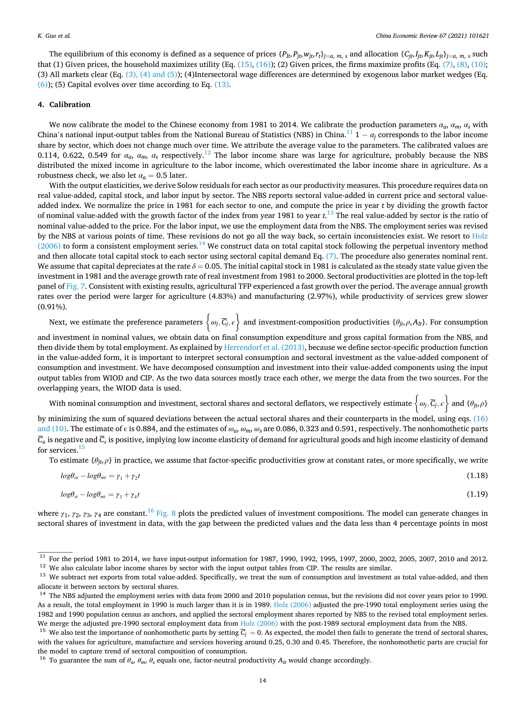<span id="page-13-0"></span>The equilibrium of this economy is defined as a sequence of prices  $\{P_{lb}, P_{lb}, w_{lb}, r_t\}_{t=a, m, s}$  and allocation  $\{C_{lb}, I_{lb}, K_{lb}, L_{lb} \}_{t=a, m, s}$  such that (1) Given prices, the household maximizes utility (Eq.  $(15)$ ,  $(16)$ ); (2) Given prices, the firms maximize profits (Eq.  $(7)$ ,  $(8)$ ,  $(10)$ ; (3) All markets clear (Eq.  $(3)$ ,  $(4)$  and  $(5)$ ); (4)Intersectoral wage differences are determined by exogenous labor market wedges (Eq.  $(6)$ ; (5) Capital evolves over time according to Eq.  $(13)$ .

# **4. Calibration**

We now calibrate the model to the Chinese economy from 1981 to 2014. We calibrate the production parameters  $a_a$ ,  $a_m$ ,  $a_s$  with China's national input-output tables from the National Bureau of Statistics (NBS) in China.<sup>11</sup> 1 –  $a_i$  corresponds to the labor income share by sector, which does not change much over time. We attribute the average value to the parameters. The calibrated values are 0.114, 0.622, 0.549 for  $\alpha_a$ ,  $\alpha_m$ ,  $\alpha_s$  respectively.<sup>12</sup> The labor income share was large for agriculture, probably because the NBS distributed the mixed income in agriculture to the labor income, which overestimated the labor income share in agriculture. As a robustness check, we also let  $\alpha_a = 0.5$  later.

With the output elasticities, we derive Solow residuals for each sector as our productivity measures. This procedure requires data on real value-added, capital stock, and labor input by sector. The NBS reports sectoral value-added in current price and sectoral valueadded index. We normalize the price in 1981 for each sector to one, and compute the price in year *t* by dividing the growth factor of nominal value-added with the growth factor of the index from year 1981 to year *t*. 13 The real value-added by sector is the ratio of nominal value-added to the price. For the labor input, we use the employment data from the NBS. The employment series was revised by the NBS at various points of time. These revisions do not go all the way back, so certain inconsistencies exist. We resort to [Holz](#page-24-0)  $(2006)$  to form a consistent employment series.<sup>14</sup> We construct data on total capital stock following the perpetual inventory method and then allocate total capital stock to each sector using sectoral capital demand Eq. [\(7\)](#page-11-0). The procedure also generates nominal rent. We assume that capital depreciates at the rate  $\delta = 0.05$ . The initial capital stock in 1981 is calculated as the steady state value given the investment in 1981 and the average growth rate of real investment from 1981 to 2000. Sectoral productivities are plotted in the top-left panel of [Fig. 7](#page-14-0). Consistent with existing results, agricultural TFP experienced a fast growth over the period. The average annual growth rates over the period were larger for agriculture (4.83%) and manufacturing (2.97%), while productivity of services grew slower (0.91%).  $\ddot{\phantom{1}}$ 

Next, we estimate the preference parameters { *ωj, Cj, ϵ* and investment-composition productivities  $\{\theta_{jt}, \rho, A_{It}\}$ . For consumption

and investment in nominal values, we obtain data on final consumption expenditure and gross capital formation from the NBS, and then divide them by total employment. As explained by [Herrendorf et al. \(2013\)](#page-24-0), because we define sector-specific production function in the value-added form, it is important to interpret sectoral consumption and sectoral investment as the value-added component of consumption and investment. We have decomposed consumption and investment into their value-added components using the input output tables from WIOD and CIP. As the two data sources mostly trace each other, we merge the data from the two sources. For the overlapping years, the WIOD data is used.  $\ddot{\phantom{1}}$ 

 $\mu$  in  $\mu$ <sub>*ρ*</sub> *calis, the VIOD didd is discu.*<br>With nominal consumption and investment, sectoral shares and sectoral deflators, we respectively estimate  $\{\omega_j, \overline{C}_j, \varepsilon\}$  and  $\{\theta_{j\},\rho\}$ 

by minimizing the sum of squared deviations between the actual sectoral shares and their counterparts in the model, using eqs. [\(16\)](#page-12-0) [and \(10\).](#page-12-0) The estimate of  $\epsilon$  is 0.884, and the estimates of  $\omega_a$ ,  $\omega_m$ ,  $\omega_s$  are 0.086, 0.323 and 0.591, respectively. The nonhomothetic parts  $\overline{C}_a$  is negative and  $\overline{C}_s$  is positive, implying low income elasticity of demand for agricultural goods and high income elasticity of demand for services. $15$ 

To estimate {*θjt*,*ρ*} in practice, we assume that factor-specific productivities grow at constant rates, or more specifically, we write

$$
log\theta_{at} - log\theta_{mt} = \gamma_1 + \gamma_2 t \tag{1.18}
$$
  

$$
log\theta_{st} - log\theta_{mt} = \gamma_3 + \gamma_4 t \tag{1.19}
$$

where  $\gamma_1$ ,  $\gamma_2$ ,  $\gamma_3$ ,  $\gamma_4$  are constant.<sup>16</sup> [Fig. 8](#page-15-0) plots the predicted values of investment compositions. The model can generate changes in sectoral shares of investment in data, with the gap between the predicted values and the data less than 4 percentage points in most

<sup>&</sup>lt;sup>11</sup> For the period 1981 to 2014, we have input-output information for 1987, 1990, 1992, 1995, 1997, 2000, 2002, 2005, 2007, 2010 and 2012.<br><sup>12</sup> We also calculate labor income shares by sector with the input output tables

allocate it between sectors by sectoral shares.<br><sup>14</sup> The NBS adjusted the employment series with data from 2000 and 2010 population census, but the revisions did not cover years prior to 1990. As a result, the total employment in 1990 is much larger than it is in 1989. [Holz \(2006\)](#page-24-0) adjusted the pre-1990 total employment series using the 1982 and 1990 population census as anchors, and applied the sectoral employment shares reported by NBS to the revised total employment series.

We merge the adjusted pre-1990 sectoral employment data from [Holz \(2006\)](#page-24-0) with the post-1989 sectoral employment data from the NBS.<br><sup>15</sup> We also test the importance of nonhomothetic parts by setting  $\overline{G}_i = 0$ . As expect with the values for agriculture, manufacture and services hovering around 0.25, 0.30 and 0.45. Therefore, the nonhomothetic parts are crucial for the model to capture trend of sectoral composition of consumption.<br><sup>16</sup> To guarantee the sum of  $\theta_a$ ,  $\theta_m$ ,  $\theta_s$  equals one, factor-neutral productivity  $A_t$  would change accordingly.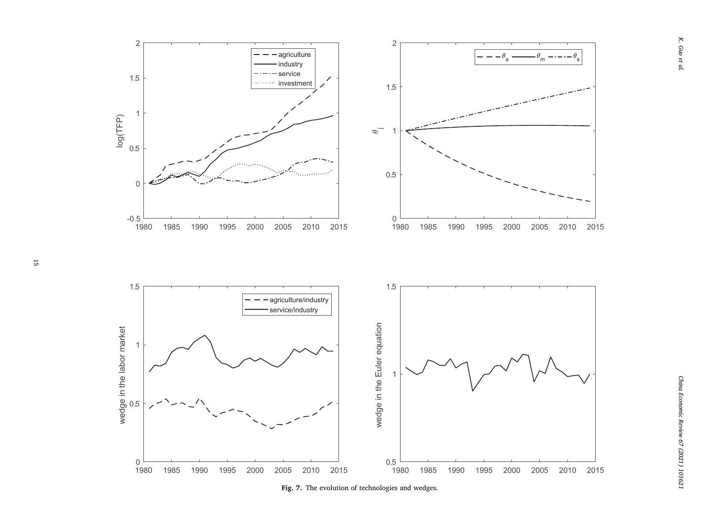<span id="page-14-0"></span>

Fig. 7. The evolution of technologies and wedges.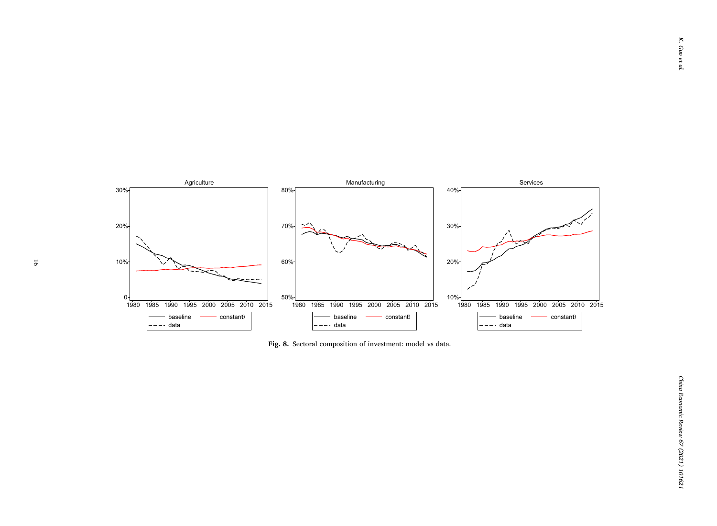<span id="page-15-0"></span>

**Fig. 8.** Sectoral composition of investment: model vs data.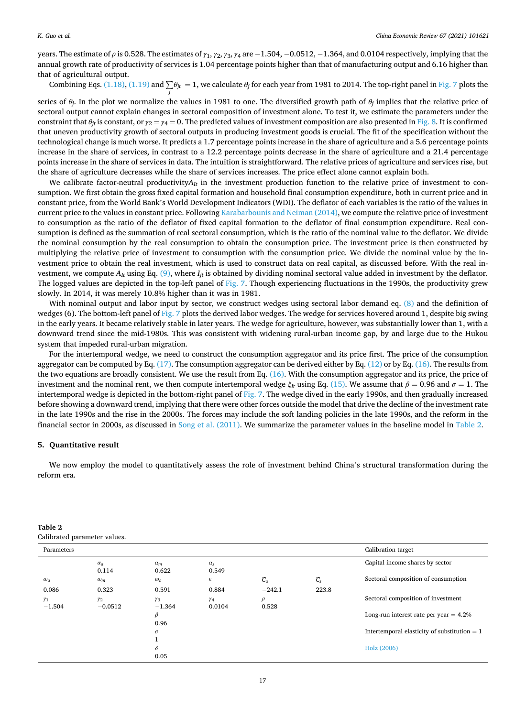<span id="page-16-0"></span>years. The estimate of *ρ* is 0.528. The estimates of *γ*1, *γ*2, *γ*3, *γ*4 are − 1.504, − 0.0512, − 1.364, and 0.0104 respectively, implying that the annual growth rate of productivity of services is 1.04 percentage points higher than that of manufacturing output and 6.16 higher than that of agricultural output.

Combining Eqs. [\(1.18\)](#page-13-0), [\(1.19\)](#page-13-0) and <sup>∑</sup> *θjt* = 1, we calculate *θj* for each year from 1981 to 2014. The top-right panel in [Fig. 7](#page-14-0) plots the *j*

series of  $\theta$ <sup>*j*</sup>. In the plot we normalize the values in 1981 to one. The diversified growth path of  $\theta$ <sup>*j*</sup> implies that the relative price of sectoral output cannot explain changes in sectoral composition of investment alone. To test it, we estimate the parameters under the constraint that  $\theta_{it}$  is constant, or  $\gamma_2 = \gamma_4 = 0$ . The predicted values of investment composition are also presented in [Fig. 8](#page-15-0). It is confirmed that uneven productivity growth of sectoral outputs in producing investment goods is crucial. The fit of the specification without the technological change is much worse. It predicts a 1.7 percentage points increase in the share of agriculture and a 5.6 percentage points increase in the share of services, in contrast to a 12.2 percentage points decrease in the share of agriculture and a 21.4 percentage points increase in the share of services in data. The intuition is straightforward. The relative prices of agriculture and services rise, but the share of agriculture decreases while the share of services increases. The price effect alone cannot explain both.

We calibrate factor-neutral productivity $A_{It}$  in the investment production function to the relative price of investment to consumption. We first obtain the gross fixed capital formation and household final consumption expenditure, both in current price and in constant price, from the World Bank's World Development Indicators (WDI). The deflator of each variables is the ratio of the values in current price to the values in constant price. Following [Karabarbounis and Neiman \(2014\),](#page-24-0) we compute the relative price of investment to consumption as the ratio of the deflator of fixed capital formation to the deflator of final consumption expenditure. Real consumption is defined as the summation of real sectoral consumption, which is the ratio of the nominal value to the deflator. We divide the nominal consumption by the real consumption to obtain the consumption price. The investment price is then constructed by multiplying the relative price of investment to consumption with the consumption price. We divide the nominal value by the investment price to obtain the real investment, which is used to construct data on real capital, as discussed before. With the real investment, we compute  $A_{It}$  using Eq. [\(9\)](#page-11-0), where  $I_{it}$  is obtained by dividing nominal sectoral value added in investment by the deflator. The logged values are depicted in the top-left panel of [Fig. 7.](#page-14-0) Though experiencing fluctuations in the 1990s, the productivity grew slowly. In 2014, it was merely 10.8% higher than it was in 1981.

With nominal output and labor input by sector, we construct wedges using sectoral labor demand eq. [\(8\)](#page-11-0) and the definition of wedges (6). The bottom-left panel of [Fig. 7](#page-14-0) plots the derived labor wedges. The wedge for services hovered around 1, despite big swing in the early years. It became relatively stable in later years. The wedge for agriculture, however, was substantially lower than 1, with a downward trend since the mid-1980s. This was consistent with widening rural-urban income gap, by and large due to the Hukou system that impeded rural-urban migration.

For the intertemporal wedge, we need to construct the consumption aggregator and its price first. The price of the consumption aggregator can be computed by Eq. [\(17\)](#page-12-0). The consumption aggregator can be derived either by Eq. [\(12\)](#page-12-0) or by Eq. [\(16\).](#page-12-0) The results from the two equations are broadly consistent. We use the result from Eq. [\(16\)](#page-12-0). With the consumption aggregator and its price, the price of investment and the nominal rent, we then compute intertemporal wedge  $ξ$ *It* using Eq. [\(15\)](#page-12-0). We assume that  $β = 0.96$  and  $σ = 1$ . The intertemporal wedge is depicted in the bottom-right panel of [Fig. 7.](#page-14-0) The wedge dived in the early 1990s, and then gradually increased before showing a downward trend, implying that there were other forces outside the model that drive the decline of the investment rate in the late 1990s and the rise in the 2000s. The forces may include the soft landing policies in the late 1990s, and the reform in the financial sector in 2000s, as discussed in [Song et al. \(2011\)](#page-24-0). We summarize the parameter values in the baseline model in Table 2.

# **5. Quantitative result**

**Table 2** 

We now employ the model to quantitatively assess the role of investment behind China's structural transformation during the reform era.

| .<br>Calibrated parameter values. |                         |                        |                       |                  |                  |                                                |  |  |
|-----------------------------------|-------------------------|------------------------|-----------------------|------------------|------------------|------------------------------------------------|--|--|
| Parameters                        |                         |                        |                       |                  |                  | Calibration target                             |  |  |
|                                   | $\alpha_a$<br>0.114     | $\alpha_m$<br>0.622    | $\alpha_{s}$<br>0.549 |                  |                  | Capital income shares by sector                |  |  |
| $\omega_a$                        | $\omega_m$              | $\omega_{\rm s}$       | $\epsilon$            | $\overline{C}_a$ | $\overline{C}_s$ | Sectoral composition of consumption            |  |  |
| 0.086                             | 0.323                   | 0.591                  | 0.884                 | $-242.1$         | 223.8            |                                                |  |  |
| $\gamma_1$<br>$-1.504$            | $\gamma_2$<br>$-0.0512$ | $\gamma_3$<br>$-1.364$ | $\gamma_4$<br>0.0104  | $\rho$<br>0.528  |                  | Sectoral composition of investment             |  |  |
|                                   |                         | β<br>0.96              |                       |                  |                  | Long-run interest rate per year $= 4.2\%$      |  |  |
|                                   |                         | $\sigma$               |                       |                  |                  | Intertemporal elasticity of substitution $= 1$ |  |  |
|                                   |                         | $\delta$               |                       |                  |                  | Holz (2006)                                    |  |  |
|                                   |                         | 0.05                   |                       |                  |                  |                                                |  |  |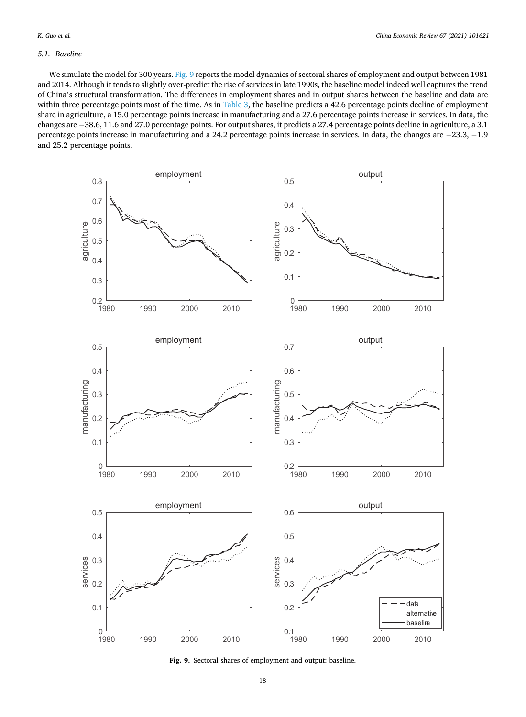## <span id="page-17-0"></span>*5.1. Baseline*

We simulate the model for 300 years. Fig. 9 reports the model dynamics of sectoral shares of employment and output between 1981 and 2014. Although it tends to slightly over-predict the rise of services in late 1990s, the baseline model indeed well captures the trend of China's structural transformation. The differences in employment shares and in output shares between the baseline and data are within three percentage points most of the time. As in [Table 3,](#page-18-0) the baseline predicts a 42.6 percentage points decline of employment share in agriculture, a 15.0 percentage points increase in manufacturing and a 27.6 percentage points increase in services. In data, the changes are − 38.6, 11.6 and 27.0 percentage points. For output shares, it predicts a 27.4 percentage points decline in agriculture, a 3.1 percentage points increase in manufacturing and a 24.2 percentage points increase in services. In data, the changes are −23.3, −1.9 and 25.2 percentage points.



**Fig. 9.** Sectoral shares of employment and output: baseline.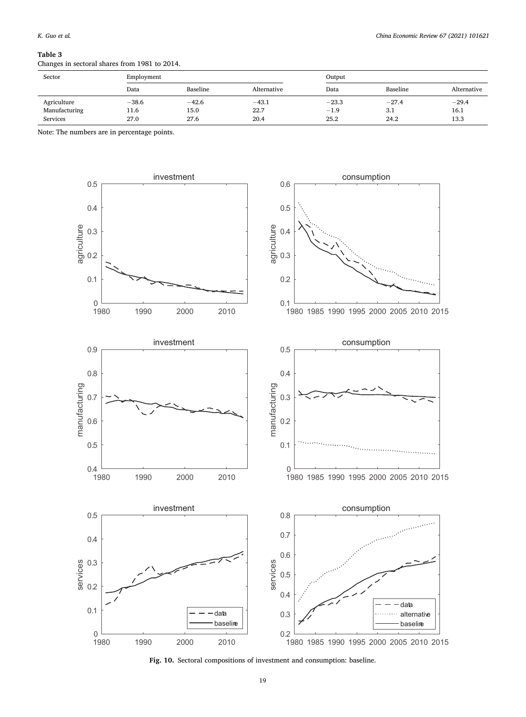#### <span id="page-18-0"></span>**Table 3**

Changes in sectoral shares from 1981 to 2014.

| Sector          | Employment |          |             |         | Output   |             |  |
|-----------------|------------|----------|-------------|---------|----------|-------------|--|
|                 | Data       | Baseline | Alternative | Data    | Baseline | Alternative |  |
| Agriculture     | $-38.6$    | $-42.6$  | $-43.1$     | $-23.3$ | $-27.4$  | $-29.4$     |  |
| Manufacturing   | 11.6       | 15.0     | 22.7        | $-1.9$  | 3.1      | 16.1        |  |
| <b>Services</b> | 27.0       | 27.6     | 20.4        | 25.2    | 24.2     | 13.3        |  |

Note: The numbers are in percentage points.



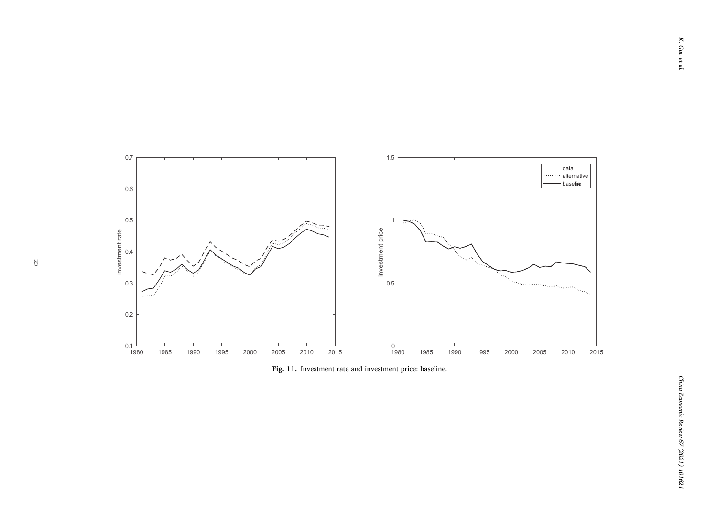<span id="page-19-0"></span>

**Fig. 11.** Investment rate and investment price: baseline.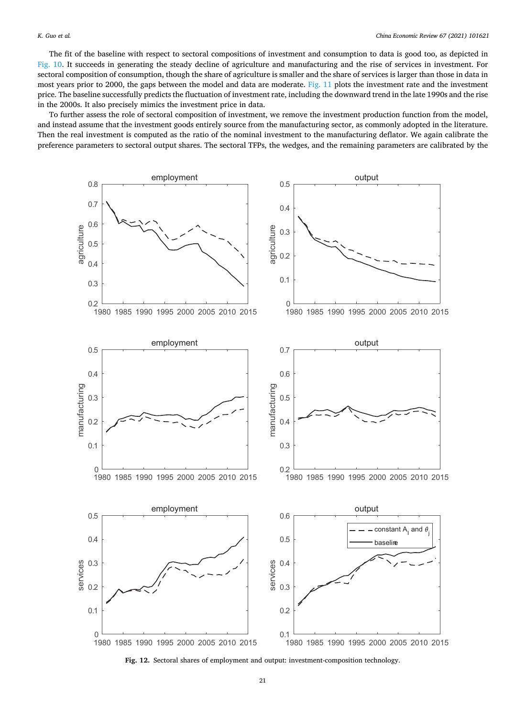<span id="page-20-0"></span>The fit of the baseline with respect to sectoral compositions of investment and consumption to data is good too, as depicted in [Fig. 10](#page-18-0). It succeeds in generating the steady decline of agriculture and manufacturing and the rise of services in investment. For sectoral composition of consumption, though the share of agriculture is smaller and the share of services is larger than those in data in most years prior to 2000, the gaps between the model and data are moderate. [Fig. 11](#page-19-0) plots the investment rate and the investment price. The baseline successfully predicts the fluctuation of investment rate, including the downward trend in the late 1990s and the rise in the 2000s. It also precisely mimics the investment price in data.

To further assess the role of sectoral composition of investment, we remove the investment production function from the model, and instead assume that the investment goods entirely source from the manufacturing sector, as commonly adopted in the literature. Then the real investment is computed as the ratio of the nominal investment to the manufacturing deflator. We again calibrate the preference parameters to sectoral output shares. The sectoral TFPs, the wedges, and the remaining parameters are calibrated by the



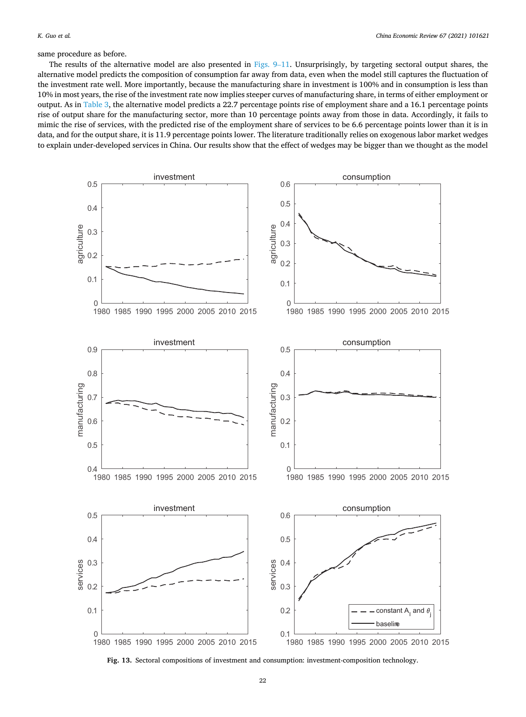<span id="page-21-0"></span>same procedure as before.

The results of the alternative model are also presented in [Figs. 9](#page-17-0)–11. Unsurprisingly, by targeting sectoral output shares, the alternative model predicts the composition of consumption far away from data, even when the model still captures the fluctuation of the investment rate well. More importantly, because the manufacturing share in investment is 100% and in consumption is less than 10% in most years, the rise of the investment rate now implies steeper curves of manufacturing share, in terms of either employment or output. As in [Table 3,](#page-18-0) the alternative model predicts a 22.7 percentage points rise of employment share and a 16.1 percentage points rise of output share for the manufacturing sector, more than 10 percentage points away from those in data. Accordingly, it fails to mimic the rise of services, with the predicted rise of the employment share of services to be 6.6 percentage points lower than it is in data, and for the output share, it is 11.9 percentage points lower. The literature traditionally relies on exogenous labor market wedges to explain under-developed services in China. Our results show that the effect of wedges may be bigger than we thought as the model



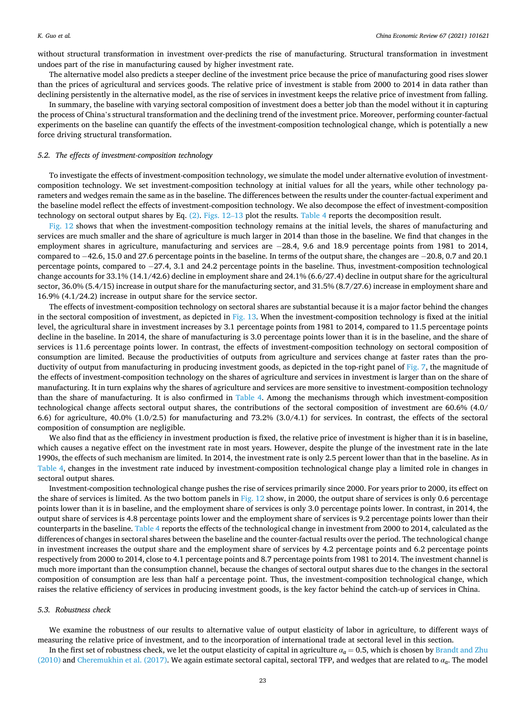without structural transformation in investment over-predicts the rise of manufacturing. Structural transformation in investment undoes part of the rise in manufacturing caused by higher investment rate.

The alternative model also predicts a steeper decline of the investment price because the price of manufacturing good rises slower than the prices of agricultural and services goods. The relative price of investment is stable from 2000 to 2014 in data rather than declining persistently in the alternative model, as the rise of services in investment keeps the relative price of investment from falling.

In summary, the baseline with varying sectoral composition of investment does a better job than the model without it in capturing the process of China's structural transformation and the declining trend of the investment price. Moreover, performing counter-factual experiments on the baseline can quantify the effects of the investment-composition technological change, which is potentially a new force driving structural transformation.

## *5.2. The effects of investment-composition technology*

To investigate the effects of investment-composition technology, we simulate the model under alternative evolution of investmentcomposition technology. We set investment-composition technology at initial values for all the years, while other technology parameters and wedges remain the same as in the baseline. The differences between the results under the counter-factual experiment and the baseline model reflect the effects of investment-composition technology. We also decompose the effect of investment-composition technology on sectoral output shares by Eq. [\(2\)](#page-10-0). [Figs. 12](#page-20-0)–13 plot the results. [Table 4](#page-23-0) reports the decomposition result.

[Fig. 12](#page-20-0) shows that when the investment-composition technology remains at the initial levels, the shares of manufacturing and services are much smaller and the share of agriculture is much larger in 2014 than those in the baseline. We find that changes in the employment shares in agriculture, manufacturing and services are − 28.4, 9.6 and 18.9 percentage points from 1981 to 2014, compared to − 42.6, 15.0 and 27.6 percentage points in the baseline. In terms of the output share, the changes are − 20.8, 0.7 and 20.1 percentage points, compared to − 27.4, 3.1 and 24.2 percentage points in the baseline. Thus, investment-composition technological change accounts for 33.1% (14.1/42.6) decline in employment share and 24.1% (6.6/27.4) decline in output share for the agricultural sector, 36.0% (5.4/15) increase in output share for the manufacturing sector, and 31.5% (8.7/27.6) increase in employment share and 16.9% (4.1/24.2) increase in output share for the service sector.

The effects of investment-composition technology on sectoral shares are substantial because it is a major factor behind the changes in the sectoral composition of investment, as depicted in [Fig. 13](#page-21-0). When the investment-composition technology is fixed at the initial level, the agricultural share in investment increases by 3.1 percentage points from 1981 to 2014, compared to 11.5 percentage points decline in the baseline. In 2014, the share of manufacturing is 3.0 percentage points lower than it is in the baseline, and the share of services is 11.6 percentage points lower. In contrast, the effects of investment-composition technology on sectoral composition of consumption are limited. Because the productivities of outputs from agriculture and services change at faster rates than the pro-ductivity of output from manufacturing in producing investment goods, as depicted in the top-right panel of [Fig. 7,](#page-14-0) the magnitude of the effects of investment-composition technology on the shares of agriculture and services in investment is larger than on the share of manufacturing. It in turn explains why the shares of agriculture and services are more sensitive to investment-composition technology than the share of manufacturing. It is also confirmed in [Table 4](#page-23-0). Among the mechanisms through which investment-composition technological change affects sectoral output shares, the contributions of the sectoral composition of investment are 60.6% (4.0/ 6.6) for agriculture, 40.0% (1.0/2.5) for manufacturing and 73.2% (3.0/4.1) for services. In contrast, the effects of the sectoral composition of consumption are negligible.

We also find that as the efficiency in investment production is fixed, the relative price of investment is higher than it is in baseline, which causes a negative effect on the investment rate in most years. However, despite the plunge of the investment rate in the late 1990s, the effects of such mechanism are limited. In 2014, the investment rate is only 2.5 percent lower than that in the baseline. As in [Table 4,](#page-23-0) changes in the investment rate induced by investment-composition technological change play a limited role in changes in sectoral output shares.

Investment-composition technological change pushes the rise of services primarily since 2000. For years prior to 2000, its effect on the share of services is limited. As the two bottom panels in [Fig. 12](#page-20-0) show, in 2000, the output share of services is only 0.6 percentage points lower than it is in baseline, and the employment share of services is only 3.0 percentage points lower. In contrast, in 2014, the output share of services is 4.8 percentage points lower and the employment share of services is 9.2 percentage points lower than their counterparts in the baseline. [Table 4](#page-23-0) reports the effects of the technological change in investment from 2000 to 2014, calculated as the differences of changes in sectoral shares between the baseline and the counter-factual results over the period. The technological change in investment increases the output share and the employment share of services by 4.2 percentage points and 6.2 percentage points respectively from 2000 to 2014, close to 4.1 percentage points and 8.7 percentage points from 1981 to 2014. The investment channel is much more important than the consumption channel, because the changes of sectoral output shares due to the changes in the sectoral composition of consumption are less than half a percentage point. Thus, the investment-composition technological change, which raises the relative efficiency of services in producing investment goods, is the key factor behind the catch-up of services in China.

### *5.3. Robustness check*

We examine the robustness of our results to alternative value of output elasticity of labor in agriculture, to different ways of measuring the relative price of investment, and to the incorporation of international trade at sectoral level in this section.

In the first set of robustness check, we let the output elasticity of capital in agriculture  $\alpha_a = 0.5$ , which is chosen by [Brandt and Zhu](#page-24-0) [\(2010\)](#page-24-0) and [Cheremukhin et al. \(2017\).](#page-24-0) We again estimate sectoral capital, sectoral TFP, and wedges that are related to *αa*. The model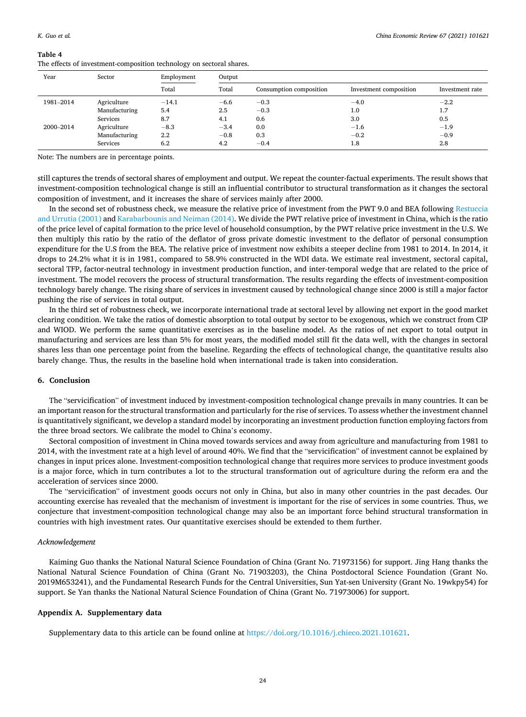### <span id="page-23-0"></span>**Table 4**

The effects of investment-composition technology on sectoral shares.

| Year      | Sector        | Employment | Output |                         |                        |                 |  |
|-----------|---------------|------------|--------|-------------------------|------------------------|-----------------|--|
|           |               | Total      | Total  | Consumption composition | Investment composition | Investment rate |  |
| 1981-2014 | Agriculture   | $-14.1$    | $-6.6$ | $-0.3$                  | $-4.0$                 | $-2.2$          |  |
|           | Manufacturing | 5.4        | 2.5    | $-0.3$                  | 1.0                    | 1.7             |  |
|           | Services      | 8.7        | 4.1    | 0.6                     | 3.0                    | 0.5             |  |
| 2000-2014 | Agriculture   | $-8.3$     | $-3.4$ | 0.0                     | $-1.6$                 | $-1.9$          |  |
|           | Manufacturing | 2.2        | $-0.8$ | 0.3                     | $-0.2$                 | $-0.9$          |  |
|           | Services      | 6.2        | 4.2    | $-0.4$                  | 1.8                    | 2.8             |  |

Note: The numbers are in percentage points.

still captures the trends of sectoral shares of employment and output. We repeat the counter-factual experiments. The result shows that investment-composition technological change is still an influential contributor to structural transformation as it changes the sectoral composition of investment, and it increases the share of services mainly after 2000.

In the second set of robustness check, we measure the relative price of investment from the PWT 9.0 and BEA following [Restuccia](#page-24-0) [and Urrutia \(2001\)](#page-24-0) and [Karabarbounis and Neiman \(2014\).](#page-24-0) We divide the PWT relative price of investment in China, which is the ratio of the price level of capital formation to the price level of household consumption, by the PWT relative price investment in the U.S. We then multiply this ratio by the ratio of the deflator of gross private domestic investment to the deflator of personal consumption expenditure for the U.S from the BEA. The relative price of investment now exhibits a steeper decline from 1981 to 2014. In 2014, it drops to 24.2% what it is in 1981, compared to 58.9% constructed in the WDI data. We estimate real investment, sectoral capital, sectoral TFP, factor-neutral technology in investment production function, and inter-temporal wedge that are related to the price of investment. The model recovers the process of structural transformation. The results regarding the effects of investment-composition technology barely change. The rising share of services in investment caused by technological change since 2000 is still a major factor pushing the rise of services in total output.

In the third set of robustness check, we incorporate international trade at sectoral level by allowing net export in the good market clearing condition. We take the ratios of domestic absorption to total output by sector to be exogenous, which we construct from CIP and WIOD. We perform the same quantitative exercises as in the baseline model. As the ratios of net export to total output in manufacturing and services are less than 5% for most years, the modified model still fit the data well, with the changes in sectoral shares less than one percentage point from the baseline. Regarding the effects of technological change, the quantitative results also barely change. Thus, the results in the baseline hold when international trade is taken into consideration.

## **6. Conclusion**

The "servicification" of investment induced by investment-composition technological change prevails in many countries. It can be an important reason for the structural transformation and particularly for the rise of services. To assess whether the investment channel is quantitatively significant, we develop a standard model by incorporating an investment production function employing factors from the three broad sectors. We calibrate the model to China's economy.

Sectoral composition of investment in China moved towards services and away from agriculture and manufacturing from 1981 to 2014, with the investment rate at a high level of around 40%. We find that the "servicification" of investment cannot be explained by changes in input prices alone. Investment-composition technological change that requires more services to produce investment goods is a major force, which in turn contributes a lot to the structural transformation out of agriculture during the reform era and the acceleration of services since 2000.

The "servicification" of investment goods occurs not only in China, but also in many other countries in the past decades. Our accounting exercise has revealed that the mechanism of investment is important for the rise of services in some countries. Thus, we conjecture that investment-composition technological change may also be an important force behind structural transformation in countries with high investment rates. Our quantitative exercises should be extended to them further.

# *Acknowledgement*

Kaiming Guo thanks the National Natural Science Foundation of China (Grant No. 71973156) for support. Jing Hang thanks the National Natural Science Foundation of China (Grant No. 71903203), the China Postdoctoral Science Foundation (Grant No. 2019M653241), and the Fundamental Research Funds for the Central Universities, Sun Yat-sen University (Grant No. 19wkpy54) for support. Se Yan thanks the National Natural Science Foundation of China (Grant No. 71973006) for support.

# **Appendix A. Supplementary data**

Supplementary data to this article can be found online at [https://doi.org/10.1016/j.chieco.2021.101621.](https://doi.org/10.1016/j.chieco.2021.101621)